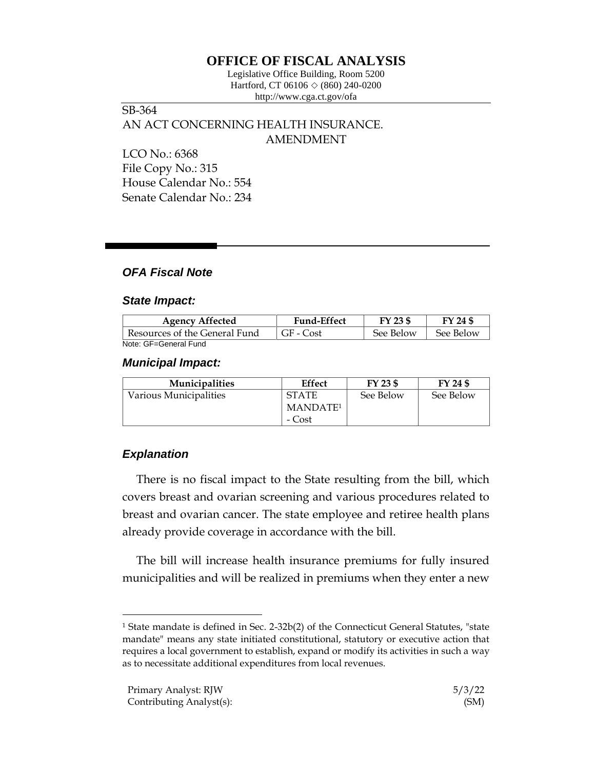## **OFFICE OF FISCAL ANALYSIS**

Legislative Office Building, Room 5200 Hartford, CT 06106  $\Diamond$  (860) 240-0200 http://www.cga.ct.gov/ofa

# SB-364 AN ACT CONCERNING HEALTH INSURANCE. AMENDMENT

LCO No.: 6368 File Copy No.: 315 House Calendar No.: 554 Senate Calendar No.: 234

## *OFA Fiscal Note*

#### *State Impact:*

| <b>Agency Affected</b>        | <b>Fund-Effect</b> | FY 23 \$  | FY 24 \$  |
|-------------------------------|--------------------|-----------|-----------|
| Resources of the General Fund | GF - Cost          | See Below | See Below |
| Note: GF=General Fund         |                    |           |           |

#### *Municipal Impact:*

| <b>Municipalities</b>  | Effect               | FY 23 \$  | $FY24\$   |
|------------------------|----------------------|-----------|-----------|
| Various Municipalities | <b>STATE</b>         | See Below | See Below |
|                        | MANDATE <sup>1</sup> |           |           |
|                        | - Cost               |           |           |

### *Explanation*

There is no fiscal impact to the State resulting from the bill, which covers breast and ovarian screening and various procedures related to breast and ovarian cancer. The state employee and retiree health plans already provide coverage in accordance with the bill.

The bill will increase health insurance premiums for fully insured municipalities and will be realized in premiums when they enter a new

<sup>1</sup> State mandate is defined in Sec. 2-32b(2) of the Connecticut General Statutes, "state mandate" means any state initiated constitutional, statutory or executive action that requires a local government to establish, expand or modify its activities in such a way as to necessitate additional expenditures from local revenues.